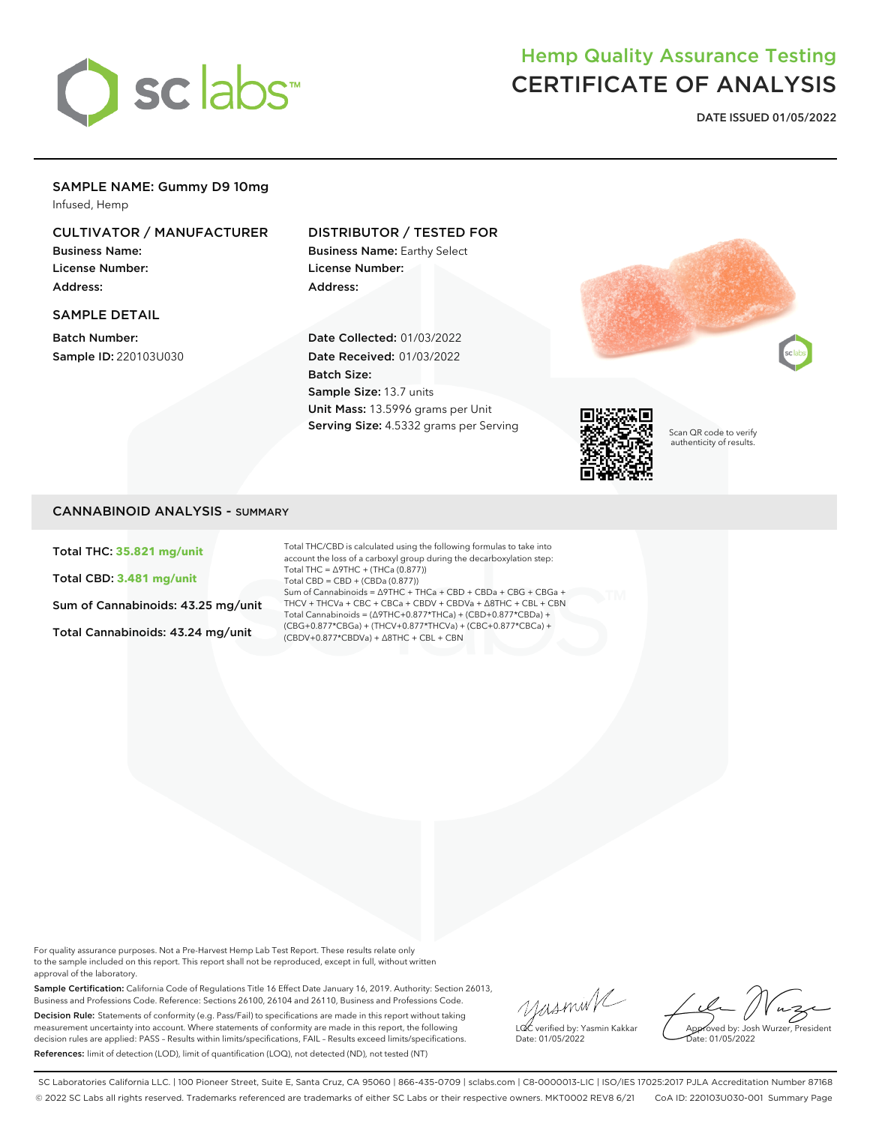

# Hemp Quality Assurance Testing CERTIFICATE OF ANALYSIS

**DATE ISSUED 01/05/2022**

## SAMPLE NAME: Gummy D9 10mg

Infused, Hemp

## CULTIVATOR / MANUFACTURER

Business Name: License Number: Address:

#### SAMPLE DETAIL

Batch Number: Sample ID: 220103U030

### DISTRIBUTOR / TESTED FOR

Business Name: Earthy Select License Number: Address:

Date Collected: 01/03/2022 Date Received: 01/03/2022 Batch Size: Sample Size: 13.7 units Unit Mass: 13.5996 grams per Unit Serving Size: 4.5332 grams per Serving





Scan QR code to verify authenticity of results.

## CANNABINOID ANALYSIS - SUMMARY

Total THC: **35.821 mg/unit**

Total CBD: **3.481 mg/unit**

Sum of Cannabinoids: 43.25 mg/unit

Total Cannabinoids: 43.24 mg/unit

Total THC/CBD is calculated using the following formulas to take into account the loss of a carboxyl group during the decarboxylation step: Total THC = ∆9THC + (THCa (0.877)) Total CBD = CBD + (CBDa (0.877)) Sum of Cannabinoids = ∆9THC + THCa + CBD + CBDa + CBG + CBGa + THCV + THCVa + CBC + CBCa + CBDV + CBDVa + ∆8THC + CBL + CBN Total Cannabinoids = (∆9THC+0.877\*THCa) + (CBD+0.877\*CBDa) + (CBG+0.877\*CBGa) + (THCV+0.877\*THCVa) + (CBC+0.877\*CBCa) + (CBDV+0.877\*CBDVa) + ∆8THC + CBL + CBN

For quality assurance purposes. Not a Pre-Harvest Hemp Lab Test Report. These results relate only to the sample included on this report. This report shall not be reproduced, except in full, without written approval of the laboratory.

Sample Certification: California Code of Regulations Title 16 Effect Date January 16, 2019. Authority: Section 26013, Business and Professions Code. Reference: Sections 26100, 26104 and 26110, Business and Professions Code. Decision Rule: Statements of conformity (e.g. Pass/Fail) to specifications are made in this report without taking measurement uncertainty into account. Where statements of conformity are made in this report, the following decision rules are applied: PASS – Results within limits/specifications, FAIL – Results exceed limits/specifications. References: limit of detection (LOD), limit of quantification (LOQ), not detected (ND), not tested (NT)

yusmin/ LQC verified by: Yasmin Kakkar Date: 01/05/2022

Approved by: Josh Wurzer, President ate: 01/05/2022

SC Laboratories California LLC. | 100 Pioneer Street, Suite E, Santa Cruz, CA 95060 | 866-435-0709 | sclabs.com | C8-0000013-LIC | ISO/IES 17025:2017 PJLA Accreditation Number 87168 © 2022 SC Labs all rights reserved. Trademarks referenced are trademarks of either SC Labs or their respective owners. MKT0002 REV8 6/21 CoA ID: 220103U030-001 Summary Page